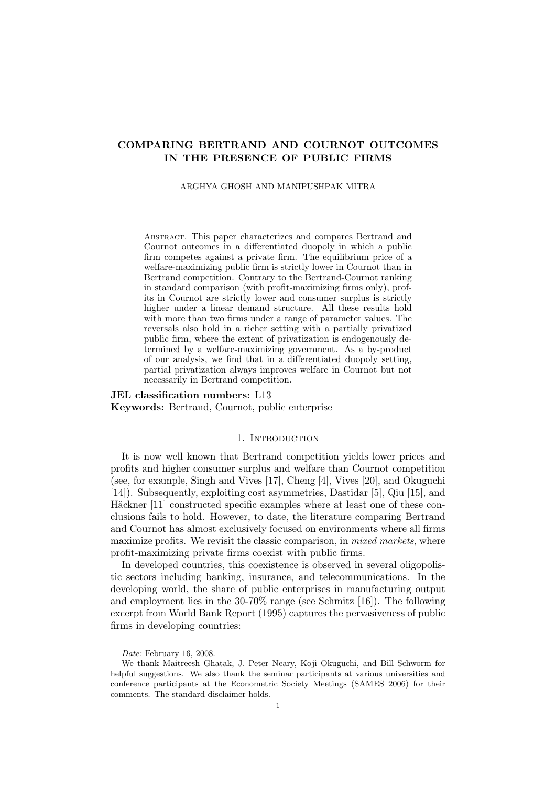# COMPARING BERTRAND AND COURNOT OUTCOMES IN THE PRESENCE OF PUBLIC FIRMS

#### ARGHYA GHOSH AND MANIPUSHPAK MITRA

Abstract. This paper characterizes and compares Bertrand and Cournot outcomes in a differentiated duopoly in which a public firm competes against a private firm. The equilibrium price of a welfare-maximizing public firm is strictly lower in Cournot than in Bertrand competition. Contrary to the Bertrand-Cournot ranking in standard comparison (with profit-maximizing firms only), profits in Cournot are strictly lower and consumer surplus is strictly higher under a linear demand structure. All these results hold with more than two firms under a range of parameter values. The reversals also hold in a richer setting with a partially privatized public firm, where the extent of privatization is endogenously determined by a welfare-maximizing government. As a by-product of our analysis, we find that in a differentiated duopoly setting, partial privatization always improves welfare in Cournot but not necessarily in Bertrand competition.

## JEL classification numbers: L13 Keywords: Bertrand, Cournot, public enterprise

#### 1. INTRODUCTION

It is now well known that Bertrand competition yields lower prices and profits and higher consumer surplus and welfare than Cournot competition (see, for example, Singh and Vives [17], Cheng [4], Vives [20], and Okuguchi [14]). Subsequently, exploiting cost asymmetries, Dastidar [5], Qiu [15], and Häckner [11] constructed specific examples where at least one of these conclusions fails to hold. However, to date, the literature comparing Bertrand and Cournot has almost exclusively focused on environments where all firms maximize profits. We revisit the classic comparison, in *mixed markets*, where profit-maximizing private firms coexist with public firms.

In developed countries, this coexistence is observed in several oligopolistic sectors including banking, insurance, and telecommunications. In the developing world, the share of public enterprises in manufacturing output and employment lies in the 30-70% range (see Schmitz [16]). The following excerpt from World Bank Report (1995) captures the pervasiveness of public firms in developing countries:

Date: February 16, 2008.

We thank Maitreesh Ghatak, J. Peter Neary, Koji Okuguchi, and Bill Schworm for helpful suggestions. We also thank the seminar participants at various universities and conference participants at the Econometric Society Meetings (SAMES 2006) for their comments. The standard disclaimer holds.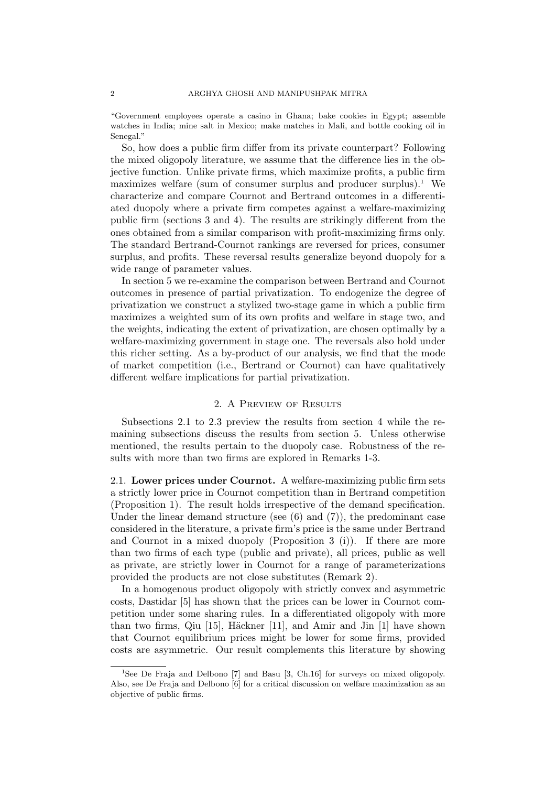"Government employees operate a casino in Ghana; bake cookies in Egypt; assemble watches in India; mine salt in Mexico; make matches in Mali, and bottle cooking oil in Senegal."

So, how does a public firm differ from its private counterpart? Following the mixed oligopoly literature, we assume that the difference lies in the objective function. Unlike private firms, which maximize profits, a public firm maximizes welfare (sum of consumer surplus and producer surplus).<sup>1</sup> We characterize and compare Cournot and Bertrand outcomes in a differentiated duopoly where a private firm competes against a welfare-maximizing public firm (sections 3 and 4). The results are strikingly different from the ones obtained from a similar comparison with profit-maximizing firms only. The standard Bertrand-Cournot rankings are reversed for prices, consumer surplus, and profits. These reversal results generalize beyond duopoly for a wide range of parameter values.

In section 5 we re-examine the comparison between Bertrand and Cournot outcomes in presence of partial privatization. To endogenize the degree of privatization we construct a stylized two-stage game in which a public firm maximizes a weighted sum of its own profits and welfare in stage two, and the weights, indicating the extent of privatization, are chosen optimally by a welfare-maximizing government in stage one. The reversals also hold under this richer setting. As a by-product of our analysis, we find that the mode of market competition (i.e., Bertrand or Cournot) can have qualitatively different welfare implications for partial privatization.

### 2. A Preview of Results

Subsections 2.1 to 2.3 preview the results from section 4 while the remaining subsections discuss the results from section 5. Unless otherwise mentioned, the results pertain to the duopoly case. Robustness of the results with more than two firms are explored in Remarks 1-3.

2.1. Lower prices under Cournot. A welfare-maximizing public firm sets a strictly lower price in Cournot competition than in Bertrand competition (Proposition 1). The result holds irrespective of the demand specification. Under the linear demand structure (see  $(6)$  and  $(7)$ ), the predominant case considered in the literature, a private firm's price is the same under Bertrand and Cournot in a mixed duopoly (Proposition 3 (i)). If there are more than two firms of each type (public and private), all prices, public as well as private, are strictly lower in Cournot for a range of parameterizations provided the products are not close substitutes (Remark 2).

In a homogenous product oligopoly with strictly convex and asymmetric costs, Dastidar [5] has shown that the prices can be lower in Cournot competition under some sharing rules. In a differentiated oligopoly with more than two firms, Qiu  $[15]$ , Häckner  $[11]$ , and Amir and Jin  $[1]$  have shown that Cournot equilibrium prices might be lower for some firms, provided costs are asymmetric. Our result complements this literature by showing

<sup>&</sup>lt;sup>1</sup>See De Fraja and Delbono [7] and Basu [3, Ch.16] for surveys on mixed oligopoly. Also, see De Fraja and Delbono [6] for a critical discussion on welfare maximization as an objective of public firms.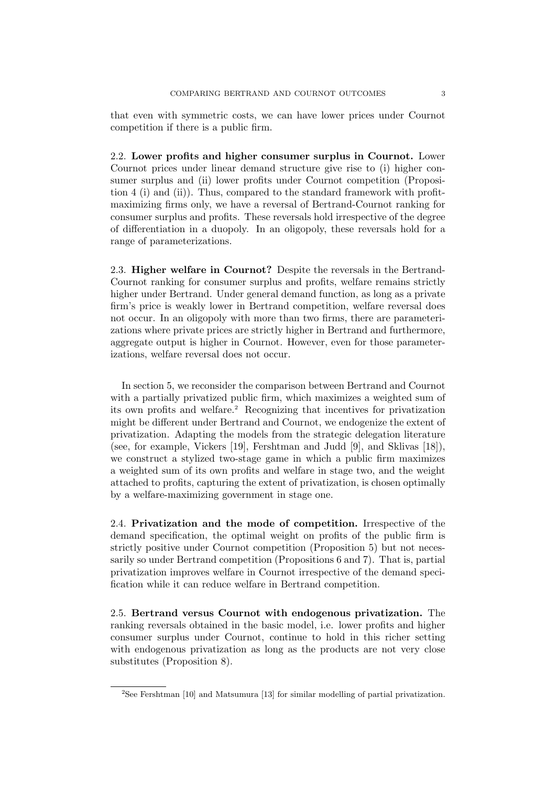that even with symmetric costs, we can have lower prices under Cournot competition if there is a public firm.

2.2. Lower profits and higher consumer surplus in Cournot. Lower Cournot prices under linear demand structure give rise to (i) higher consumer surplus and (ii) lower profits under Cournot competition (Proposition 4 (i) and (ii)). Thus, compared to the standard framework with profitmaximizing firms only, we have a reversal of Bertrand-Cournot ranking for consumer surplus and profits. These reversals hold irrespective of the degree of differentiation in a duopoly. In an oligopoly, these reversals hold for a range of parameterizations.

2.3. Higher welfare in Cournot? Despite the reversals in the Bertrand-Cournot ranking for consumer surplus and profits, welfare remains strictly higher under Bertrand. Under general demand function, as long as a private firm's price is weakly lower in Bertrand competition, welfare reversal does not occur. In an oligopoly with more than two firms, there are parameterizations where private prices are strictly higher in Bertrand and furthermore, aggregate output is higher in Cournot. However, even for those parameterizations, welfare reversal does not occur.

In section 5, we reconsider the comparison between Bertrand and Cournot with a partially privatized public firm, which maximizes a weighted sum of its own profits and welfare.<sup>2</sup> Recognizing that incentives for privatization might be different under Bertrand and Cournot, we endogenize the extent of privatization. Adapting the models from the strategic delegation literature (see, for example, Vickers [19], Fershtman and Judd [9], and Sklivas [18]), we construct a stylized two-stage game in which a public firm maximizes a weighted sum of its own profits and welfare in stage two, and the weight attached to profits, capturing the extent of privatization, is chosen optimally by a welfare-maximizing government in stage one.

2.4. Privatization and the mode of competition. Irrespective of the demand specification, the optimal weight on profits of the public firm is strictly positive under Cournot competition (Proposition 5) but not necessarily so under Bertrand competition (Propositions 6 and 7). That is, partial privatization improves welfare in Cournot irrespective of the demand specification while it can reduce welfare in Bertrand competition.

2.5. Bertrand versus Cournot with endogenous privatization. The ranking reversals obtained in the basic model, i.e. lower profits and higher consumer surplus under Cournot, continue to hold in this richer setting with endogenous privatization as long as the products are not very close substitutes (Proposition 8).

<sup>2</sup>See Fershtman [10] and Matsumura [13] for similar modelling of partial privatization.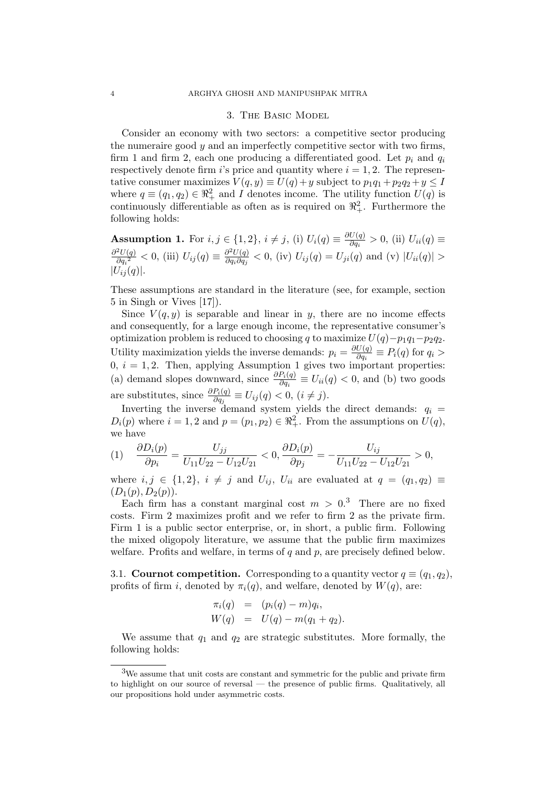#### 3. The Basic Model

Consider an economy with two sectors: a competitive sector producing the numeraire good  $y$  and an imperfectly competitive sector with two firms, firm 1 and firm 2, each one producing a differentiated good. Let  $p_i$  and  $q_i$ respectively denote firm i's price and quantity where  $i = 1, 2$ . The representative consumer maximizes  $V(q, y) \equiv U(q) + y$  subject to  $p_1q_1 + p_2q_2 + y \leq I$ where  $q \equiv (q_1, q_2) \in \mathbb{R}^2_+$  and I denotes income. The utility function  $U(q)$  is continuously differentiable as often as is required on  $\mathbb{R}^2_+$ . Furthermore the following holds:

**Assumption 1.** For  $i, j \in \{1, 2\}, i \neq j$ , (i)  $U_i(q) \equiv \frac{\partial U(q)}{\partial q_i}$  $rac{U(q)}{\partial q_i} > 0$ , (ii)  $U_{ii}(q) \equiv$  $\partial^2 U(q)$  $\frac{\partial^2 U(q)}{\partial q_i^2} < 0$ , (iii)  $U_{ij}(q) \equiv \frac{\partial^2 U(q)}{\partial q_i \partial q_j}$  $\frac{\partial^2 U(q)}{\partial q_i \partial q_j} < 0$ , (iv)  $U_{ij}(q) = U_{ji}(q)$  and (v)  $|U_{ii}(q)| >$  $|U_{ij}(q)|.$ 

These assumptions are standard in the literature (see, for example, section 5 in Singh or Vives [17]).

Since  $V(q, y)$  is separable and linear in y, there are no income effects and consequently, for a large enough income, the representative consumer's optimization problem is reduced to choosing q to maximize  $U(q)-p_1q_1-p_2q_2$ . Utility maximization yields the inverse demands:  $p_i = \frac{\partial U(q)}{\partial q_i}$  $\frac{\partial(q)}{\partial q_i} \equiv P_i(q)$  for  $q_i >$  $0, i = 1, 2$ . Then, applying Assumption 1 gives two important properties: (a) demand slopes downward, since  $\frac{\partial P_i(q)}{\partial q_i} \equiv U_{ii}(q) < 0$ , and (b) two goods are substitutes, since  $\frac{\partial P_i(q)}{\partial q_j} \equiv U_{ij}(q) < 0, (i \neq j)$ .

Inverting the inverse demand system yields the direct demands:  $q_i =$  $D_i(p)$  where  $i = 1, 2$  and  $p = (p_1, p_2) \in \mathbb{R}^2_+$ . From the assumptions on  $U(q)$ , we have

$$
(1) \quad \frac{\partial D_i(p)}{\partial p_i} = \frac{U_{jj}}{U_{11}U_{22} - U_{12}U_{21}} < 0, \frac{\partial D_i(p)}{\partial p_j} = -\frac{U_{ij}}{U_{11}U_{22} - U_{12}U_{21}} > 0,
$$

where  $i, j \in \{1, 2\}, i \neq j$  and  $U_{ij}$ ,  $U_{ii}$  are evaluated at  $q = (q_1, q_2) \equiv$  $(D_1(p), D_2(p)).$ 

Each firm has a constant marginal cost  $m > 0<sup>3</sup>$ . There are no fixed costs. Firm 2 maximizes profit and we refer to firm 2 as the private firm. Firm 1 is a public sector enterprise, or, in short, a public firm. Following the mixed oligopoly literature, we assume that the public firm maximizes welfare. Profits and welfare, in terms of  $q$  and  $p$ , are precisely defined below.

3.1. Cournot competition. Corresponding to a quantity vector  $q \equiv (q_1, q_2)$ , profits of firm i, denoted by  $\pi_i(q)$ , and welfare, denoted by  $W(q)$ , are:

$$
\pi_i(q) = (p_i(q) - m)q_i, W(q) = U(q) - m(q_1 + q_2).
$$

We assume that  $q_1$  and  $q_2$  are strategic substitutes. More formally, the following holds:

<sup>3</sup>We assume that unit costs are constant and symmetric for the public and private firm to highlight on our source of reversal — the presence of public firms. Qualitatively, all our propositions hold under asymmetric costs.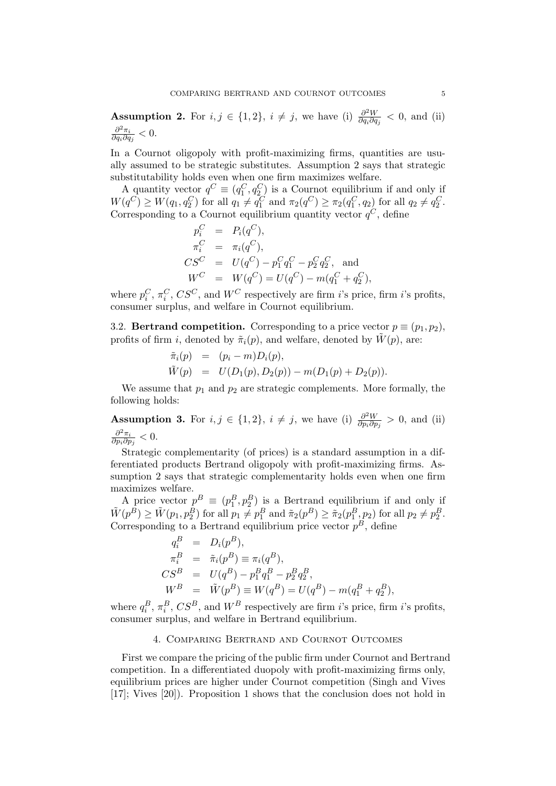**Assumption 2.** For  $i, j \in \{1, 2\}, i \neq j$ , we have (i)  $\frac{\partial^2 W}{\partial x \partial c}$  $\frac{\partial^2 W}{\partial q_i \partial q_j}$  < 0, and (ii)  $\partial^2 \pi_i$  $\frac{\partial^2 \pi_i}{\partial q_i \partial q_j} < 0.$ 

In a Cournot oligopoly with profit-maximizing firms, quantities are usually assumed to be strategic substitutes. Assumption 2 says that strategic substitutability holds even when one firm maximizes welfare.

A quantity vector  $q^C \equiv (q_1^C, q_2^C)$  is a Cournot equilibrium if and only if  $W(q^C) \ge W(q_1, q_2^C)$  for all  $q_1 \ne q_1^C$  and  $\pi_2(q^C) \ge \pi_2(q_1^C, q_2)$  for all  $q_2 \ne q_2^C$ . Corresponding to a Cournot equilibrium quantity vector  $q^C$ , define

$$
p_i^C = P_i(q^C),
$$
  
\n
$$
\pi_i^C = \pi_i(q^C),
$$
  
\n
$$
CS^C = U(q^C) - p_1^C q_1^C - p_2^C q_2^C,
$$
 and  
\n
$$
W^C = W(q^C) = U(q^C) - m(q_1^C + q_2^C),
$$

where  $p_i^C$ ,  $\pi_i^C$ ,  $CS^C$ , and  $W^C$  respectively are firm *i*'s price, firm *i*'s profits, consumer surplus, and welfare in Cournot equilibrium.

3.2. **Bertrand competition.** Corresponding to a price vector  $p \equiv (p_1, p_2)$ , profits of firm i, denoted by  $\tilde{\pi}_i(p)$ , and welfare, denoted by  $\tilde{W}(p)$ , are:

$$
\tilde{\pi}_i(p) = (p_i - m)D_i(p), \n\tilde{W}(p) = U(D_1(p), D_2(p)) - m(D_1(p) + D_2(p)).
$$

We assume that  $p_1$  and  $p_2$  are strategic complements. More formally, the following holds:

**Assumption 3.** For  $i, j \in \{1, 2\}, i \neq j$ , we have (i)  $\frac{\partial^2 W}{\partial n \cdot \partial r}$  $\frac{\partial^2 W}{\partial p_i \partial p_j} > 0$ , and (ii)  $\partial^2 \pi_i$  $\frac{\partial^2 \pi_i}{\partial p_i \partial p_j} < 0.$ 

Strategic complementarity (of prices) is a standard assumption in a differentiated products Bertrand oligopoly with profit-maximizing firms. Assumption 2 says that strategic complementarity holds even when one firm maximizes welfare.

A price vector  $p^B \equiv (p_1^B, p_2^B)$  is a Bertrand equilibrium if and only if  $\tilde{W}(p^B) \ge \tilde{W}(p_1, p_2^B)$  for all  $p_1 \ne p_1^B$  and  $\tilde{\pi}_2(p^B) \ge \tilde{\pi}_2(p_1^B, p_2)$  for all  $p_2 \ne p_2^B$ . Corresponding to a Bertrand equilibrium price vector  $p^B$ , define

$$
q_i^B = D_i(p^B),
$$
  
\n
$$
\pi_i^B = \tilde{\pi}_i(p^B) \equiv \pi_i(q^B),
$$
  
\n
$$
CS^B = U(q^B) - p_1^B q_1^B - p_2^B q_2^B,
$$
  
\n
$$
W^B = \tilde{W}(p^B) \equiv W(q^B) = U(q^B) - m(q_1^B + q_2^B),
$$

where  $q_i^B$ ,  $\pi_i^B$ ,  $CS^B$ , and  $W^B$  respectively are firm *i*'s price, firm *i*'s profits, consumer surplus, and welfare in Bertrand equilibrium.

### 4. Comparing Bertrand and Cournot Outcomes

First we compare the pricing of the public firm under Cournot and Bertrand competition. In a differentiated duopoly with profit-maximizing firms only, equilibrium prices are higher under Cournot competition (Singh and Vives [17]; Vives [20]). Proposition 1 shows that the conclusion does not hold in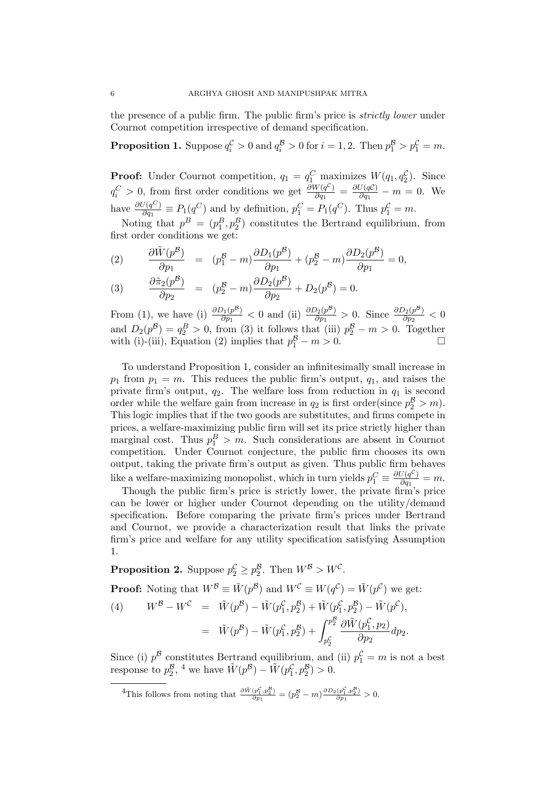the presence of a public firm. The public firm's price is strictly lower under Cournot competition irrespective of demand specification.

**Proposition 1.** Suppose  $q_i^{\mathcal{C}} > 0$  and  $q_i^{\mathcal{B}} > 0$  for  $i = 1, 2$ . Then  $p_1^{\mathcal{B}} > p_1^{\mathcal{C}} = m$ .

**Proof:** Under Cournot competition,  $q_1 = q_1^C$  maximizes  $W(q_1, q_2^C)$ . Since  $q_i^C > 0$ , from first order conditions we get  $\frac{\partial W(q^C)}{\partial q_1}$  $\frac{W(q^{\mathcal{C}})}{\partial q_1} = \frac{\partial U(q\mathcal{C})}{\partial q_1}$  $\frac{\partial(qC)}{\partial q_1} - m = 0$ . We have  $\frac{\partial U(q^C)}{\partial q_1}$  $\frac{\partial}{\partial q_1} \equiv P_1(q^C)$  and by definition,  $p_1^C = P_1(q^C)$ . Thus  $p_1^C = m$ .

Noting that  $p^B = (p_1^B, p_2^B)$  constitutes the Bertrand equilibrium, from first order conditions we get:

(2) 
$$
\frac{\partial \tilde{W}(p^B)}{\partial p_1} = (p_1^B - m) \frac{\partial D_1(p^B)}{\partial p_1} + (p_2^B - m) \frac{\partial D_2(p^B)}{\partial p_1} = 0,
$$

(3) 
$$
\frac{\partial \tilde{\pi}_2(p^{\mathcal{B}})}{\partial p_2} = (p_2^{\mathcal{B}} - m) \frac{\partial D_2(p^{\mathcal{B}})}{\partial p_2} + D_2(p^{\mathcal{B}}) = 0.
$$

From (1), we have (i)  $\frac{\partial D_1(p^B)}{\partial p_1}$  $\frac{\partial_1(p^{\mathcal{B}})}{\partial p_1} < 0$  and (ii)  $\frac{\partial D_2(p^{\mathcal{B}})}{\partial p_1}$  $\frac{\partial_2(p^{\mathcal{B}})}{\partial p_1} > 0$ . Since  $\frac{\partial D_2(p^{\mathcal{B}})}{\partial p_2}$  $\frac{\partial^2 (p^2)}{\partial p_2} < 0$ and  $D_2(p^{\mathcal{B}}) = q_2^{\mathcal{B}} > 0$ , from (3) it follows that (iii)  $p_2^{\mathcal{B}} - m > 0$ . Together with (i)-(iii), Equation (2) implies that  $p_1^B - m > 0$ .

To understand Proposition 1, consider an infinitesimally small increase in  $p_1$  from  $p_1 = m$ . This reduces the public firm's output,  $q_1$ , and raises the private firm's output,  $q_2$ . The welfare loss from reduction in  $q_1$  is second order while the welfare gain from increase in  $q_2$  is first order(since  $p_2^B > m$ ). This logic implies that if the two goods are substitutes, and firms compete in prices, a welfare-maximizing public firm will set its price strictly higher than marginal cost. Thus  $p_1^B > m$ . Such considerations are absent in Cournot competition. Under Cournot conjecture, the public firm chooses its own output, taking the private firm's output as given. Thus public firm behaves like a welfare-maximizing monopolist, which in turn yields  $p_1^C \equiv \frac{\partial U(q^C)}{\partial q_1}$  $\frac{\partial(q^{\mathcal{C}})}{\partial q_1} = m.$ 

Though the public firm's price is strictly lower, the private firm's price can be lower or higher under Cournot depending on the utility/demand specification. Before comparing the private firm's prices under Bertrand and Cournot, we provide a characterization result that links the private firm's price and welfare for any utility specification satisfying Assumption 1.

**Proposition 2.** Suppose  $p_2^{\mathcal{C}} \geq p_2^{\mathcal{B}}$ . Then  $W^{\mathcal{B}} > W^{\mathcal{C}}$ . **Proof:** Noting that  $W^B \equiv \tilde{W}(p^B)$  and  $W^C \equiv W(q^C) = \tilde{W}(p^C)$  we get: (4)  $W^{\mathcal{B}} - W^{\mathcal{C}} = \tilde{W}(p^{\mathcal{B}}) - \tilde{W}(p_1^{\mathcal{C}}, p_2^{\mathcal{B}}) + \tilde{W}(p_1^{\mathcal{C}}, p_2^{\mathcal{B}}) - \tilde{W}(p^{\mathcal{C}}),$  $= \tilde{W}(p^{\mathcal{B}}) - \tilde{W}(p^{\mathcal{C}}_1, p^{\mathcal{B}}_2) + \int_{-\infty}^{p^{\mathcal{B}}_2}$  $p_2^{\mathcal{C}}$  $\overline{c}$  $\partial \tilde{W}(p_1^\mathcal{C},p_2)$  $rac{\overline{(p_1,p_2)}}{\partial p_2}dp_2.$ 

Since (i)  $p^{\mathcal{B}}$  constitutes Bertrand equilibrium, and (ii)  $p_1^{\mathcal{C}} = m$  is not a best response to  $p_2^{\mathcal{B}},$  <sup>4</sup> we have  $\tilde{W}(p^{\mathcal{B}}) - \tilde{W}(p_1^{\mathcal{C}}, p_2^{\mathcal{B}}) > 0$ .

<sup>4</sup>This follows from noting that  $\frac{\partial \tilde{W}(p_1^C, p_2^B)}{\partial p_1} = (p_2^B - m) \frac{\partial D_2(p_1^C, p_2^B)}{\partial p_1} > 0.$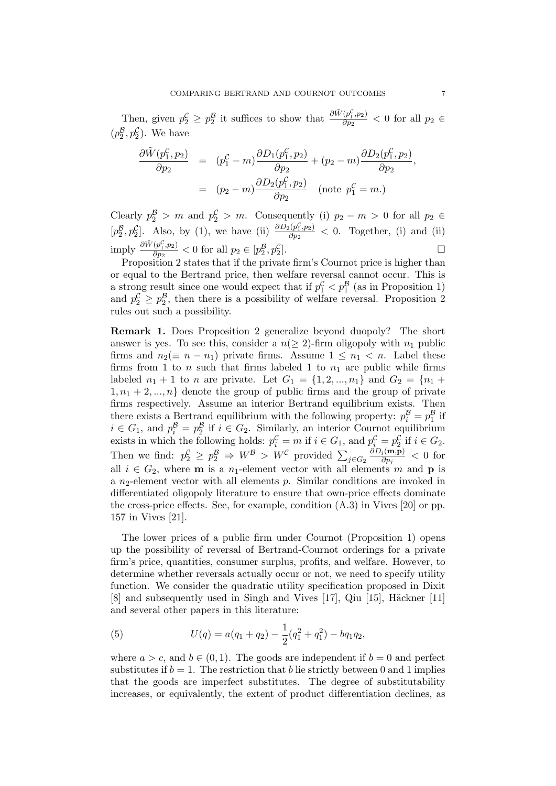Then, given  $p_2^C \geq p_2^B$  it suffices to show that  $\frac{\partial \tilde{W}(p_1^C, p_2)}{\partial p_2}$  $\frac{(p_1, p_2)}{\partial p_2}$  < 0 for all  $p_2 \in$  $(p_2^B, p_2^C)$ . We have

$$
\frac{\partial \tilde{W}(p_1^{\mathcal{C}}, p_2)}{\partial p_2} = (p_1^{\mathcal{C}} - m) \frac{\partial D_1(p_1^{\mathcal{C}}, p_2)}{\partial p_2} + (p_2 - m) \frac{\partial D_2(p_1^{\mathcal{C}}, p_2)}{\partial p_2},
$$
  
=  $(p_2 - m) \frac{\partial D_2(p_1^{\mathcal{C}}, p_2)}{\partial p_2}$  (note  $p_1^{\mathcal{C}} = m$ .)

Clearly  $p_2^{\mathcal{B}} > m$  and  $p_2^{\mathcal{C}} > m$ . Consequently (i)  $p_2 - m > 0$  for all  $p_2 \in$  $[p_2^{\mathcal{B}}, p_2^{\mathcal{C}}]$ . Also, by (1), we have (ii)  $\frac{\partial D_2(p_1^{\mathcal{C}}, p_2)}{\partial p_2}$  $\frac{\partial^2 (p_1, p_2)}{\partial p_2}$  < 0. Together, (i) and (ii) imply  $\frac{\partial \tilde{W}(p_1^{\mathcal{C}},p_2)}{\partial p_2}$  $\frac{(p_1^2, p_2)}{\partial p_2} < 0$  for all  $p_2 \in [p_2^B, p_2^C]$ .

Proposition 2 states that if the private firm's Cournot price is higher than or equal to the Bertrand price, then welfare reversal cannot occur. This is a strong result since one would expect that if  $p_1^{\mathcal{C}} < p_1^{\mathcal{B}}$  (as in Proposition 1) and  $p_2^{\mathcal{C}} \geq p_2^{\mathcal{B}}$ , then there is a possibility of welfare reversal. Proposition 2 rules out such a possibility.

Remark 1. Does Proposition 2 generalize beyond duopoly? The short answer is yes. To see this, consider a  $n(> 2)$ -firm oligopoly with  $n_1$  public firms and  $n_2(\equiv n - n_1)$  private firms. Assume  $1 \leq n_1 < n$ . Label these firms from 1 to n such that firms labeled 1 to  $n_1$  are public while firms labeled  $n_1 + 1$  to n are private. Let  $G_1 = \{1, 2, ..., n_1\}$  and  $G_2 = \{n_1 +$  $1, n_1 + 2, ..., n$  denote the group of public firms and the group of private firms respectively. Assume an interior Bertrand equilibrium exists. Then there exists a Bertrand equilibrium with the following property:  $p_i^B = p_1^B$  if  $i \in G_1$ , and  $p_i^{\mathcal{B}} = p_2^{\mathcal{B}}$  if  $i \in G_2$ . Similarly, an interior Cournot equilibrium exists in which the following holds:  $p_i^{\mathcal{C}} = m$  if  $i \in G_1$ , and  $p_i^{\mathcal{C}} = p_2^{\mathcal{C}}$  if  $i \in G_2$ . Then we find:  $p_2^{\mathcal{C}} \geq p_2^{\mathcal{B}} \Rightarrow W^{\mathcal{B}} > W^{\mathcal{C}}$  provided  $\sum_{j \in G_2}$  $\partial D_i(\mathbf{m},\mathbf{p})$  $\frac{i(\mathbf{m}, \mathbf{p})}{\partial p_j} < 0$  for all  $i \in G_2$ , where **m** is a n<sub>1</sub>-element vector with all elements m and **p** is a  $n_2$ -element vector with all elements p. Similar conditions are invoked in differentiated oligopoly literature to ensure that own-price effects dominate the cross-price effects. See, for example, condition (A.3) in Vives [20] or pp. 157 in Vives [21].

The lower prices of a public firm under Cournot (Proposition 1) opens up the possibility of reversal of Bertrand-Cournot orderings for a private firm's price, quantities, consumer surplus, profits, and welfare. However, to determine whether reversals actually occur or not, we need to specify utility function. We consider the quadratic utility specification proposed in Dixit  $[8]$  and subsequently used in Singh and Vives  $[17]$ , Qiu  $[15]$ , Häckner  $[11]$ and several other papers in this literature:

(5) 
$$
U(q) = a(q_1 + q_2) - \frac{1}{2}(q_1^2 + q_1^2) - bq_1q_2,
$$

where  $a > c$ , and  $b \in (0, 1)$ . The goods are independent if  $b = 0$  and perfect substitutes if  $b = 1$ . The restriction that b lie strictly between 0 and 1 implies that the goods are imperfect substitutes. The degree of substitutability increases, or equivalently, the extent of product differentiation declines, as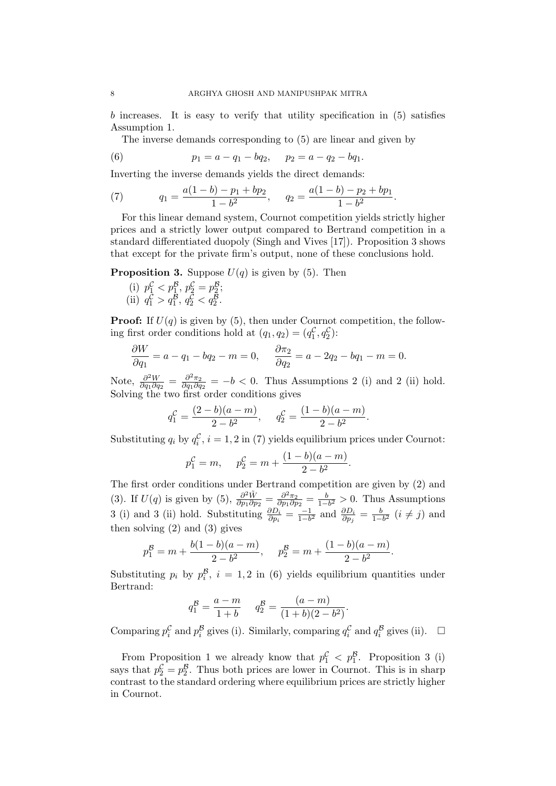b increases. It is easy to verify that utility specification in (5) satisfies Assumption 1.

The inverse demands corresponding to (5) are linear and given by

(6) 
$$
p_1 = a - q_1 - bq_2
$$
,  $p_2 = a - q_2 - bq_1$ .

Inverting the inverse demands yields the direct demands:

(7) 
$$
q_1 = \frac{a(1-b) - p_1 + bp_2}{1 - b^2}, \quad q_2 = \frac{a(1-b) - p_2 + bp_1}{1 - b^2}.
$$

For this linear demand system, Cournot competition yields strictly higher prices and a strictly lower output compared to Bertrand competition in a standard differentiated duopoly (Singh and Vives [17]). Proposition 3 shows that except for the private firm's output, none of these conclusions hold.

**Proposition 3.** Suppose  $U(q)$  is given by (5). Then

(i)  $p_1^{\mathcal{C}} < p_1^{\mathcal{B}}, p_2^{\mathcal{C}} = p_2^{\mathcal{B}};$ (ii)  $q_1^{\mathcal{C}} > q_1^{\mathcal{B}}, q_2^{\mathcal{C}} < q_2^{\mathcal{B}}.$ 

**Proof:** If  $U(q)$  is given by (5), then under Cournot competition, the following first order conditions hold at  $(q_1, q_2) = (q_1^{\mathcal{C}}, q_2^{\mathcal{C}})$ :

$$
\frac{\partial W}{\partial q_1} = a - q_1 - bq_2 - m = 0, \quad \frac{\partial \pi_2}{\partial q_2} = a - 2q_2 - bq_1 - m = 0.
$$

Note,  $\frac{\partial^2 W}{\partial q_1 \partial q_2}$  $\frac{\partial^2 W}{\partial q_1 \partial q_2} = \frac{\partial^2 \pi_2}{\partial q_1 \partial q}$  $\frac{\partial^2 \pi_2}{\partial q_1 \partial q_2} = -b < 0$ . Thus Assumptions 2 (i) and 2 (ii) hold. Solving the two first order conditions gives

$$
q_1^{\mathcal{C}} = \frac{(2-b)(a-m)}{2-b^2}, \quad q_2^{\mathcal{C}} = \frac{(1-b)(a-m)}{2-b^2}.
$$

Substituting  $q_i$  by  $q_i^{\mathcal{C}}$ ,  $i = 1, 2$  in (7) yields equilibrium prices under Cournot:

$$
p_1^{\mathcal{C}} = m
$$
,  $p_2^{\mathcal{C}} = m + \frac{(1-b)(a-m)}{2-b^2}$ .

The first order conditions under Bertrand competition are given by (2) and (3). If  $U(q)$  is given by (5),  $\frac{\partial^2 \tilde{W}}{\partial p_1 \partial r}$  $\frac{\partial^2 \tilde{W}}{\partial p_1 \partial p_2} = \frac{\partial^2 \pi_2}{\partial p_1 \partial p_2}$  $\frac{\partial^2 \pi_2}{\partial p_1 \partial p_2} = \frac{b}{1-b}$  $\frac{b}{1-b^2} > 0$ . Thus Assumptions 3 (i) and 3 (ii) hold. Substituting  $\frac{\partial D_i}{\partial p_i} = \frac{-1}{1-b}$  $\frac{-1}{1-b^2}$  and  $\frac{\partial D_i}{\partial p_j} = \frac{b}{1-b}$  $\frac{b}{1-b^2}$   $(i \neq j)$  and then solving (2) and (3) gives

$$
p_1^{\mathcal{B}} = m + \frac{b(1-b)(a-m)}{2-b^2}
$$
,  $p_2^{\mathcal{B}} = m + \frac{(1-b)(a-m)}{2-b^2}$ .

Substituting  $p_i$  by  $p_i^{\mathcal{B}}$ ,  $i = 1, 2$  in (6) yields equilibrium quantities under Bertrand:

$$
q_1^{\mathcal{B}} = \frac{a - m}{1 + b} \qquad q_2^{\mathcal{B}} = \frac{(a - m)}{(1 + b)(2 - b^2)}.
$$

Comparing  $p_i^{\mathcal{C}}$  and  $p_i^{\mathcal{B}}$  gives (i). Similarly, comparing  $q_i^{\mathcal{C}}$  and  $q_i^{\mathcal{B}}$  gives (ii).  $\Box$ 

From Proposition 1 we already know that  $p_1^{\mathcal{C}} < p_1^{\mathcal{B}}$ . Proposition 3 (i) says that  $p_2^{\mathcal{C}} = p_2^{\mathcal{B}}$ . Thus both prices are lower in Cournot. This is in sharp contrast to the standard ordering where equilibrium prices are strictly higher in Cournot.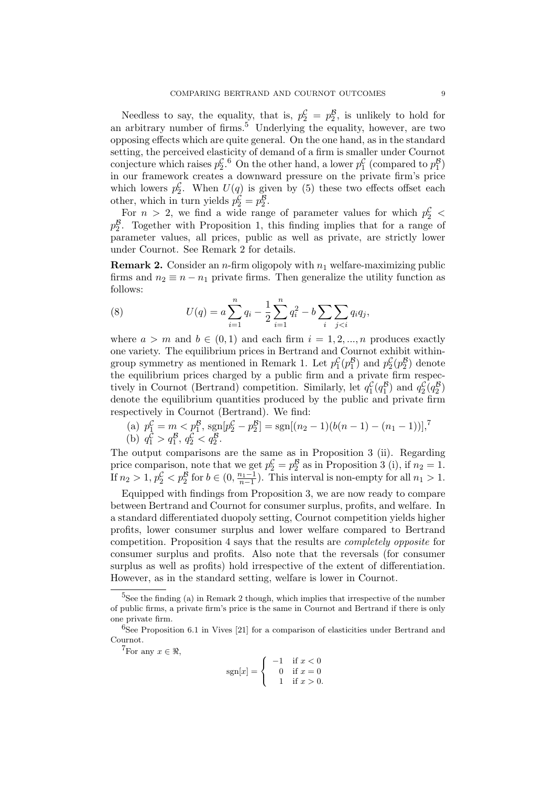Needless to say, the equality, that is,  $p_2^{\mathcal{C}} = p_2^{\mathcal{B}}$ , is unlikely to hold for an arbitrary number of firms.<sup>5</sup> Underlying the equality, however, are two opposing effects which are quite general. On the one hand, as in the standard setting, the perceived elasticity of demand of a firm is smaller under Cournot conjecture which raises  $p_2^{\mathcal{C}, 6}$  On the other hand, a lower  $p_1^{\mathcal{C}}$  (compared to  $p_1^{\mathcal{B}}$ ) in our framework creates a downward pressure on the private firm's price which lowers  $p_2^{\mathcal{C}}$ . When  $U(q)$  is given by (5) these two effects offset each other, which in turn yields  $p_2^{\mathcal{C}} = p_2^{\mathcal{B}}$ .

For  $n > 2$ , we find a wide range of parameter values for which  $p_2^{\mathcal{C}}$  <  $p_2^{\mathcal{B}}$ . Together with Proposition 1, this finding implies that for a range of parameter values, all prices, public as well as private, are strictly lower under Cournot. See Remark 2 for details.

**Remark 2.** Consider an *n*-firm oligopoly with  $n_1$  welfare-maximizing public firms and  $n_2 \equiv n - n_1$  private firms. Then generalize the utility function as follows:

(8) 
$$
U(q) = a \sum_{i=1}^{n} q_i - \frac{1}{2} \sum_{i=1}^{n} q_i^2 - b \sum_{i} \sum_{j
$$

where  $a > m$  and  $b \in (0, 1)$  and each firm  $i = 1, 2, ..., n$  produces exactly one variety. The equilibrium prices in Bertrand and Cournot exhibit withingroup symmetry as mentioned in Remark 1. Let  $p_1^{\mathcal{C}}(p_1^{\mathcal{B}})$  and  $p_2^{\mathcal{C}}(p_2^{\mathcal{B}})$  denote the equilibrium prices charged by a public firm and a private firm respectively in Cournot (Bertrand) competition. Similarly, let  $q_1^{\mathcal{C}}(q_1^{\mathcal{B}})$  and  $q_2^{\mathcal{C}}(q_2^{\mathcal{B}})$ denote the equilibrium quantities produced by the public and private firm respectively in Cournot (Bertrand). We find:

(a) 
$$
p_1^{\mathcal{C}} = m < p_1^{\mathcal{B}}, \text{sgn}[p_2^{\mathcal{C}} - p_2^{\mathcal{B}}] = \text{sgn}[(n_2 - 1)(b(n - 1) - (n_1 - 1))],^7
$$
  
(b)  $q_1^{\mathcal{C}} > q_1^{\mathcal{B}}, q_2^{\mathcal{C}} < q_2^{\mathcal{B}}.$ 

The output comparisons are the same as in Proposition 3 (ii). Regarding price comparison, note that we get  $p_2^{\mathcal{C}} = p_2^{\mathcal{B}}$  as in Proposition 3 (i), if  $n_2 = 1$ . If  $n_2 > 1$ ,  $p_2^{\mathcal{C}} < p_2^{\mathcal{B}}$  for  $b \in (0, \frac{n_1-1}{n-1})$ . This interval is non-empty for all  $n_1 > 1$ .

Equipped with findings from Proposition 3, we are now ready to compare between Bertrand and Cournot for consumer surplus, profits, and welfare. In a standard differentiated duopoly setting, Cournot competition yields higher profits, lower consumer surplus and lower welfare compared to Bertrand competition. Proposition 4 says that the results are completely opposite for consumer surplus and profits. Also note that the reversals (for consumer surplus as well as profits) hold irrespective of the extent of differentiation. However, as in the standard setting, welfare is lower in Cournot.

<sup>7</sup>For any  $x \in \Re$ .

$$
sgn[x] = \begin{cases} -1 & \text{if } x < 0\\ 0 & \text{if } x = 0\\ 1 & \text{if } x > 0. \end{cases}
$$

 ${}^{5}$ See the finding (a) in Remark 2 though, which implies that irrespective of the number of public firms, a private firm's price is the same in Cournot and Bertrand if there is only one private firm.

<sup>6</sup>See Proposition 6.1 in Vives [21] for a comparison of elasticities under Bertrand and Cournot.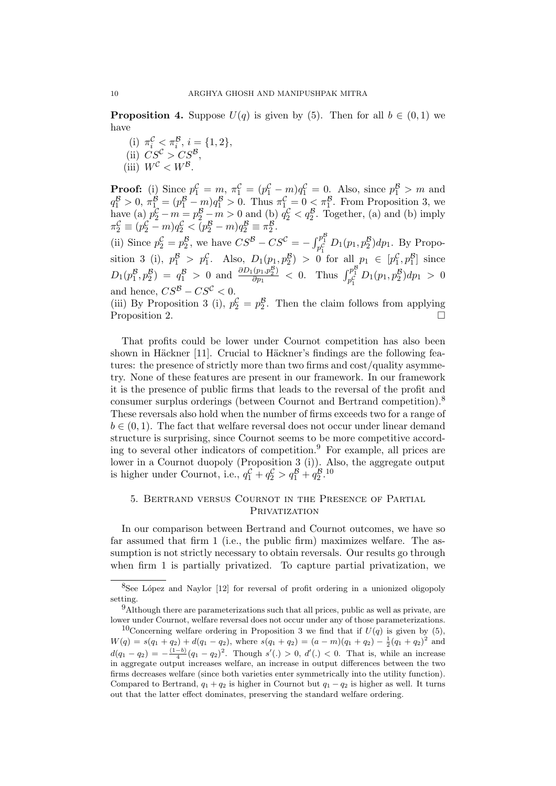**Proposition 4.** Suppose  $U(q)$  is given by (5). Then for all  $b \in (0,1)$  we have

(i)  $\pi_i^{\mathcal{C}} \leq \pi_i^{\mathcal{B}}, i = \{1, 2\},\$ (ii)  $CS^{\mathcal{C}} > CS^{\mathcal{B}}$ , (iii)  $W^{\mathcal{C}} < W^{\mathcal{B}}$ .

**Proof:** (i) Since  $p_1^{\mathcal{C}} = m$ ,  $\pi_1^{\mathcal{C}} = (p_1^{\mathcal{C}} - m)q_1^{\mathcal{C}} = 0$ . Also, since  $p_1^{\mathcal{B}} > m$  and  $q_1^{\mathcal{B}} > 0$ ,  $\pi_{1}^{\mathcal{B}} = (p_1^{\mathcal{B}} - m)q_1^{\mathcal{B}} > 0$ . Thus  $\pi_{1}^{\mathcal{C}} = 0 \leq \pi_1^{\mathcal{B}}$ . From Proposition 3, we have (a)  $p_2^{\mathcal{C}} - m = p_2^{\mathcal{B}} - m > 0$  and (b)  $q_2^{\mathcal{C}} < q_2^{\mathcal{B}}$ . Together, (a) and (b) imply  $\pi_2^{\mathcal{C}} \equiv (p_2^{\mathcal{C}} - m)q_2^{\mathcal{C}} < (p_2^{\mathcal{B}} - m)q_2^{\mathcal{B}} \equiv \pi_2^{\mathcal{B}}.$ (ii) Since  $p_2^{\mathcal{C}} = p_2^{\mathcal{B}}$ , we have  $CS^{\mathcal{B}} - CS^{\mathcal{C}} = -\int_{p_1^{\mathcal{C}}}^{p_1^{\mathcal{B}}} D_1(p_1, p_2^{\mathcal{B}}) dp_1$ . By Proposition 3 (i),  $p_1^{\mathcal{B}} > p_1^{\mathcal{C}}$ . Also,  $D_1(p_1, p_2^{\mathcal{B}}) > 0$  for all  $p_1 \in [p_1^{\mathcal{C}}, p_1^{\mathcal{B}}]$  since  $D_1(p_1^{\mathcal{B}}, p_2^{\mathcal{B}}) = q_1^{\mathcal{B}} > 0$  and  $\frac{\partial D_1(p_1, p_2^{\mathcal{B}})}{\partial p_1}$  $\frac{(\bar{p}_1, p_2^{\mathcal{B}})}{\partial p_1}$  < 0. Thus  $\int_{p_1^{\mathcal{C}}}^{p_1^{\mathcal{B}}} D_1(p_1, p_2^{\mathcal{B}}) dp_1 > 0$ and hence,  $CS^B - CS^C < 0$ .

(iii) By Proposition 3 (i),  $p_2^{\mathcal{C}} = p_2^{\mathcal{B}}$ . Then the claim follows from applying Proposition 2.

That profits could be lower under Cournot competition has also been shown in Häckner [11]. Crucial to Häckner's findings are the following features: the presence of strictly more than two firms and cost/quality asymmetry. None of these features are present in our framework. In our framework it is the presence of public firms that leads to the reversal of the profit and consumer surplus orderings (between Cournot and Bertrand competition).<sup>8</sup> These reversals also hold when the number of firms exceeds two for a range of  $b \in (0, 1)$ . The fact that welfare reversal does not occur under linear demand structure is surprising, since Cournot seems to be more competitive according to several other indicators of competition.<sup>9</sup> For example, all prices are lower in a Cournot duopoly (Proposition 3 (i)). Also, the aggregate output is higher under Cournot, i.e.,  $q_1^{\mathcal{C}} + q_2^{\mathcal{C}} > q_1^{\mathcal{B}} + q_2^{\mathcal{B}}.$ <sup>10</sup>

# 5. Bertrand versus Cournot in the Presence of Partial PRIVATIZATION

In our comparison between Bertrand and Cournot outcomes, we have so far assumed that firm 1 (i.e., the public firm) maximizes welfare. The assumption is not strictly necessary to obtain reversals. Our results go through when firm 1 is partially privatized. To capture partial privatization, we

 $8$ See López and Naylor [12] for reversal of profit ordering in a unionized oligopoly setting.

 $9$ Although there are parameterizations such that all prices, public as well as private, are lower under Cournot, welfare reversal does not occur under any of those parameterizations.

<sup>&</sup>lt;sup>10</sup>Concerning welfare ordering in Proposition 3 we find that if  $U(q)$  is given by (5),  $W(q) = s(q_1 + q_2) + d(q_1 - q_2)$ , where  $s(q_1 + q_2) = (a - m)(q_1 + q_2) - \frac{1}{2}(q_1 + q_2)^2$  and  $d(q_1 - q_2) = -\frac{(1-b)}{4}(q_1 - q_2)^2$ . Though  $s'(.) > 0$ ,  $d'(.) < 0$ . That is, while an increase in aggregate output increases welfare, an increase in output differences between the two firms decreases welfare (since both varieties enter symmetrically into the utility function). Compared to Bertrand,  $q_1 + q_2$  is higher in Cournot but  $q_1 - q_2$  is higher as well. It turns out that the latter effect dominates, preserving the standard welfare ordering.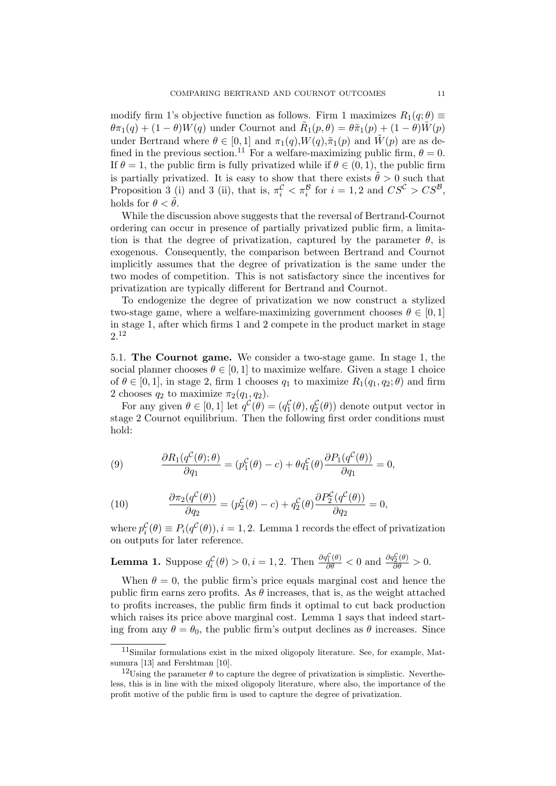modify firm 1's objective function as follows. Firm 1 maximizes  $R_1(q;\theta) \equiv$  $\theta \pi_1(q) + (1 - \theta)W(q)$  under Cournot and  $\tilde{R}_1(p, \theta) = \theta \tilde{\pi}_1(p) + (1 - \theta)\tilde{W}(p)$ under Bertrand where  $\theta \in [0,1]$  and  $\pi_1(q), W(q), \tilde{\pi}_1(p)$  and  $\tilde{W}(p)$  are as defined in the previous section.<sup>11</sup> For a welfare-maximizing public firm,  $\theta = 0$ . If  $\theta = 1$ , the public firm is fully privatized while if  $\theta \in (0, 1)$ , the public firm is partially privatized. It is easy to show that there exists  $\tilde{\theta} > 0$  such that Proposition 3 (i) and 3 (ii), that is,  $\pi_i^C < \pi_i^B$  for  $i = 1, 2$  and  $CS^C > CS^B$ , holds for  $\theta < \tilde{\theta}$ .

While the discussion above suggests that the reversal of Bertrand-Cournot ordering can occur in presence of partially privatized public firm, a limitation is that the degree of privatization, captured by the parameter  $\theta$ , is exogenous. Consequently, the comparison between Bertrand and Cournot implicitly assumes that the degree of privatization is the same under the two modes of competition. This is not satisfactory since the incentives for privatization are typically different for Bertrand and Cournot.

To endogenize the degree of privatization we now construct a stylized two-stage game, where a welfare-maximizing government chooses  $\theta \in [0, 1]$ in stage 1, after which firms 1 and 2 compete in the product market in stage 2.<sup>12</sup>

5.1. The Cournot game. We consider a two-stage game. In stage 1, the social planner chooses  $\theta \in [0, 1]$  to maximize welfare. Given a stage 1 choice of  $\theta \in [0, 1]$ , in stage 2, firm 1 chooses  $q_1$  to maximize  $R_1(q_1, q_2; \theta)$  and firm 2 chooses  $q_2$  to maximize  $\pi_2(q_1, q_2)$ .

For any given  $\theta \in [0, 1]$  let  $q^{\mathcal{C}}(\theta) = (q_1^{\mathcal{C}}(\theta), q_2^{\mathcal{C}}(\theta))$  denote output vector in stage 2 Cournot equilibrium. Then the following first order conditions must hold:

(9) 
$$
\frac{\partial R_1(q^{\mathcal{C}}(\theta); \theta)}{\partial q_1} = (p_1^{\mathcal{C}}(\theta) - c) + \theta q_1^{\mathcal{C}}(\theta) \frac{\partial P_1(q^{\mathcal{C}}(\theta))}{\partial q_1} = 0,
$$

(10) 
$$
\frac{\partial \pi_2(q^{\mathcal{C}}(\theta))}{\partial q_2} = (p_2^{\mathcal{C}}(\theta) - c) + q_2^{\mathcal{C}}(\theta) \frac{\partial P_2^{\mathcal{C}}(q^{\mathcal{C}}(\theta))}{\partial q_2} = 0,
$$

where  $p_i^{\mathcal{C}}(\theta) \equiv P_i(q^{\mathcal{C}}(\theta)), i = 1, 2$ . Lemma 1 records the effect of privatization on outputs for later reference.

**Lemma 1.** Suppose 
$$
q_i^{\mathcal{C}}(\theta) > 0
$$
,  $i = 1, 2$ . Then  $\frac{\partial q_1^{\mathcal{C}}(\theta)}{\partial \theta} < 0$  and  $\frac{\partial q_2^{\mathcal{C}}(\theta)}{\partial \theta} > 0$ .

When  $\theta = 0$ , the public firm's price equals marginal cost and hence the public firm earns zero profits. As  $\theta$  increases, that is, as the weight attached to profits increases, the public firm finds it optimal to cut back production which raises its price above marginal cost. Lemma 1 says that indeed starting from any  $\theta = \theta_0$ , the public firm's output declines as  $\theta$  increases. Since

<sup>11</sup>Similar formulations exist in the mixed oligopoly literature. See, for example, Matsumura [13] and Fershtman [10].

<sup>&</sup>lt;sup>12</sup>Using the parameter  $\theta$  to capture the degree of privatization is simplistic. Nevertheless, this is in line with the mixed oligopoly literature, where also, the importance of the profit motive of the public firm is used to capture the degree of privatization.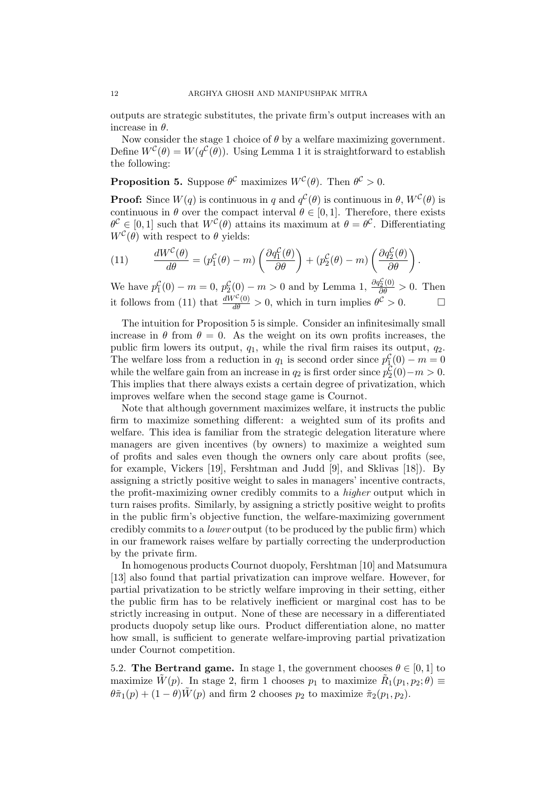outputs are strategic substitutes, the private firm's output increases with an increase in  $\theta$ .

Now consider the stage 1 choice of  $\theta$  by a welfare maximizing government. Define  $W^{\mathcal{C}}(\theta) = W(q^{\mathcal{C}}(\theta))$ . Using Lemma 1 it is straightforward to establish the following:

**Proposition 5.** Suppose  $\theta^{\mathcal{C}}$  maximizes  $W^{\mathcal{C}}(\theta)$ . Then  $\theta^{\mathcal{C}} > 0$ .

**Proof:** Since  $W(q)$  is continuous in q and  $q^{\mathcal{C}}(\theta)$  is continuous in  $\theta$ ,  $W^{\mathcal{C}}(\theta)$  is continuous in  $\theta$  over the compact interval  $\theta \in [0, 1]$ . Therefore, there exists  $\theta^{\mathcal{C}} \in [0,1]$  such that  $W^{\mathcal{C}}(\theta)$  attains its maximum at  $\theta = \theta^{\mathcal{C}}$ . Differentiating  $W^{\mathcal{C}}(\theta)$  with respect to  $\theta$  yields:

(11) 
$$
\frac{dW^{\mathcal{C}}(\theta)}{d\theta} = (p_1^{\mathcal{C}}(\theta) - m) \left( \frac{\partial q_1^{\mathcal{C}}(\theta)}{\partial \theta} \right) + (p_2^{\mathcal{C}}(\theta) - m) \left( \frac{\partial q_2^{\mathcal{C}}(\theta)}{\partial \theta} \right).
$$

We have  $p_1^{\mathcal{C}}(0) - m = 0$ ,  $p_2^{\mathcal{C}}(0) - m > 0$  and by Lemma 1,  $\frac{\partial q_2^{\mathcal{C}}(0)}{\partial \theta} > 0$ . Then it follows from (11) that  $\frac{dW^C(0)}{d\theta} > 0$ , which in turn implies  $\theta^C > 0$ .

The intuition for Proposition 5 is simple. Consider an infinitesimally small increase in  $\theta$  from  $\theta = 0$ . As the weight on its own profits increases, the public firm lowers its output,  $q_1$ , while the rival firm raises its output,  $q_2$ . The welfare loss from a reduction in  $q_1$  is second order since  $p_1^{\mathcal{C}}(0) - m = 0$ while the welfare gain from an increase in  $q_2$  is first order since  $p_2^{\mathcal{C}}(0) - m > 0$ . This implies that there always exists a certain degree of privatization, which improves welfare when the second stage game is Cournot.

Note that although government maximizes welfare, it instructs the public firm to maximize something different: a weighted sum of its profits and welfare. This idea is familiar from the strategic delegation literature where managers are given incentives (by owners) to maximize a weighted sum of profits and sales even though the owners only care about profits (see, for example, Vickers [19], Fershtman and Judd [9], and Sklivas [18]). By assigning a strictly positive weight to sales in managers' incentive contracts, the profit-maximizing owner credibly commits to a higher output which in turn raises profits. Similarly, by assigning a strictly positive weight to profits in the public firm's objective function, the welfare-maximizing government credibly commits to a lower output (to be produced by the public firm) which in our framework raises welfare by partially correcting the underproduction by the private firm.

In homogenous products Cournot duopoly, Fershtman [10] and Matsumura [13] also found that partial privatization can improve welfare. However, for partial privatization to be strictly welfare improving in their setting, either the public firm has to be relatively inefficient or marginal cost has to be strictly increasing in output. None of these are necessary in a differentiated products duopoly setup like ours. Product differentiation alone, no matter how small, is sufficient to generate welfare-improving partial privatization under Cournot competition.

5.2. The Bertrand game. In stage 1, the government chooses  $\theta \in [0, 1]$  to maximize  $\tilde{W}(p)$ . In stage 2, firm 1 chooses  $p_1$  to maximize  $\tilde{R}_1(p_1, p_2; \theta) \equiv$  $\theta \tilde{\pi}_1(p) + (1 - \theta) \tilde{W}(p)$  and firm 2 chooses  $p_2$  to maximize  $\tilde{\pi}_2(p_1, p_2)$ .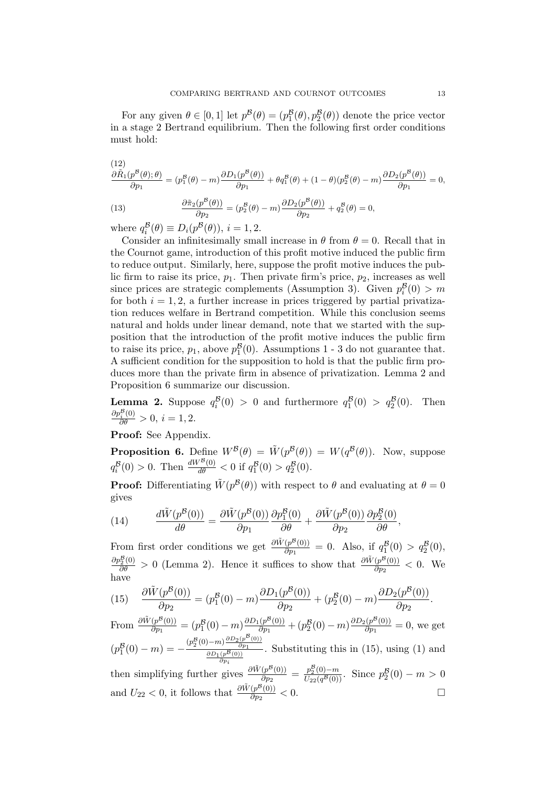For any given  $\theta \in [0, 1]$  let  $p^{\mathcal{B}}(\theta) = (p_1^{\mathcal{B}}(\theta), p_2^{\mathcal{B}}(\theta))$  denote the price vector in a stage 2 Bertrand equilibrium. Then the following first order conditions must hold:

(12)  
\n
$$
\frac{\partial \tilde{R}_1(p^B(\theta); \theta)}{\partial p_1} = (p_1^B(\theta) - m) \frac{\partial D_1(p^B(\theta))}{\partial p_1} + \theta q_1^B(\theta) + (1 - \theta)(p_2^B(\theta) - m) \frac{\partial D_2(p^B(\theta))}{\partial p_1} = 0,
$$
\n(13)  
\n
$$
\frac{\partial \tilde{\pi}_2(p^B(\theta))}{\partial p_2} = (p_2^B(\theta) - m) \frac{\partial D_2(p^B(\theta))}{\partial p_2} + q_2^B(\theta) = 0,
$$

where  $q_i^{\mathcal{B}}(\theta) \equiv D_i(p^{\mathcal{B}}(\theta)), i = 1, 2.$ 

Consider an infinitesimally small increase in  $\theta$  from  $\theta = 0$ . Recall that in the Cournot game, introduction of this profit motive induced the public firm to reduce output. Similarly, here, suppose the profit motive induces the public firm to raise its price,  $p_1$ . Then private firm's price,  $p_2$ , increases as well since prices are strategic complements (Assumption 3). Given  $p_i^{\mathcal{B}}(0) > m$ for both  $i = 1, 2$ , a further increase in prices triggered by partial privatization reduces welfare in Bertrand competition. While this conclusion seems natural and holds under linear demand, note that we started with the supposition that the introduction of the profit motive induces the public firm to raise its price,  $p_1$ , above  $p_1^{\mathcal{B}}(0)$ . Assumptions 1 - 3 do not guarantee that. A sufficient condition for the supposition to hold is that the public firm produces more than the private firm in absence of privatization. Lemma 2 and Proposition 6 summarize our discussion.

**Lemma 2.** Suppose  $q_i^{\mathcal{B}}(0) > 0$  and furthermore  $q_1^{\mathcal{B}}(0) > q_2^{\mathcal{B}}$ <br> $\frac{\partial p_i^{\mathcal{B}}(0)}{\partial \theta} > 0$ ,  $i = 1, 2$ . Then

Proof: See Appendix.

**Proposition 6.** Define  $W^B(\theta) = \tilde{W}(p^B(\theta)) = W(q^B(\theta))$ . Now, suppose  $q_i^{\mathcal{B}}(0) > 0$ . Then  $\frac{dW^{\mathcal{B}}(0)}{d\theta} < 0$  if  $q_1^{\mathcal{B}}(0) > q_2^{\mathcal{B}}(0)$ .

**Proof:** Differentiating  $\tilde{W}(p^B(\theta))$  with respect to  $\theta$  and evaluating at  $\theta = 0$ gives

(14) 
$$
\frac{d\tilde{W}(p^B(0))}{d\theta} = \frac{\partial \tilde{W}(p^B(0))}{\partial p_1} \frac{\partial p_1^B(0)}{\partial \theta} + \frac{\partial \tilde{W}(p^B(0))}{\partial p_2} \frac{\partial p_2^B(0)}{\partial \theta},
$$

From first order conditions we get  $\frac{\partial \tilde{W}(p^B(0))}{\partial m}$  $\frac{(p^B(0))}{\partial p_1} = 0$ . Also, if  $q_1^B(0) > q_2^B(0)$ ,  $\frac{\partial p_2^B(0)}{\partial \theta} > 0$  (Lemma 2). Hence it suffices to show that  $\frac{\partial \tilde{W}(p^B(0))}{\partial p_2}$  $\frac{(p^{\infty}(0))}{\partial p_2} < 0$ . We have

(15) 
$$
\frac{\partial \tilde{W}(p^{\mathcal{B}}(0))}{\partial p_2} = (p_1^{\mathcal{B}}(0) - m) \frac{\partial D_1(p^{\mathcal{B}}(0))}{\partial p_2} + (p_2^{\mathcal{B}}(0) - m) \frac{\partial D_2(p^{\mathcal{B}}(0))}{\partial p_2}.
$$

From  $\frac{\partial \tilde{W}(p^{\mathcal{B}}(0))}{\partial p_i}$  $\frac{(p^B(0))}{\partial p_1} = (p_1^B(0) - m) \frac{\partial D_1(p^B(0))}{\partial p_1}$  $\frac{(p^B(0))}{\partial p_1} + (p_2^B(0) - m) \frac{\partial D_2(p^B(0))}{\partial p_1}$  $\frac{\partial P^{\circ}(0)}{\partial p_1} = 0$ , we get  $(p_1^{\mathcal{B}}(0) - m) = -\frac{(p_2^{\mathcal{B}}(0) - m) \frac{\partial D_2(p^{\mathcal{B}}(0))}{\partial p_1}}{\partial D_1(p^{\mathcal{B}}(0))}$  $\frac{\partial p_1}{\partial p_1(p^{\mathcal{B}}(0))}$ . Substituting this in (15), using (1) and then simplifying further gives  $\frac{\partial \tilde{W}(p^B(0))}{\partial p_0}$  $\frac{(p^B(0))}{\partial p_2} = \frac{p_2^B(0)-m}{U_{22}(q^B(0))}$ . Since  $p_2^B(0)-m > 0$ and  $U_{22} < 0$ , it follows that  $\frac{\partial \tilde{W}(p^B(0))}{\partial p_2}$  $\frac{(p^B(0))}{\partial p_2} < 0.$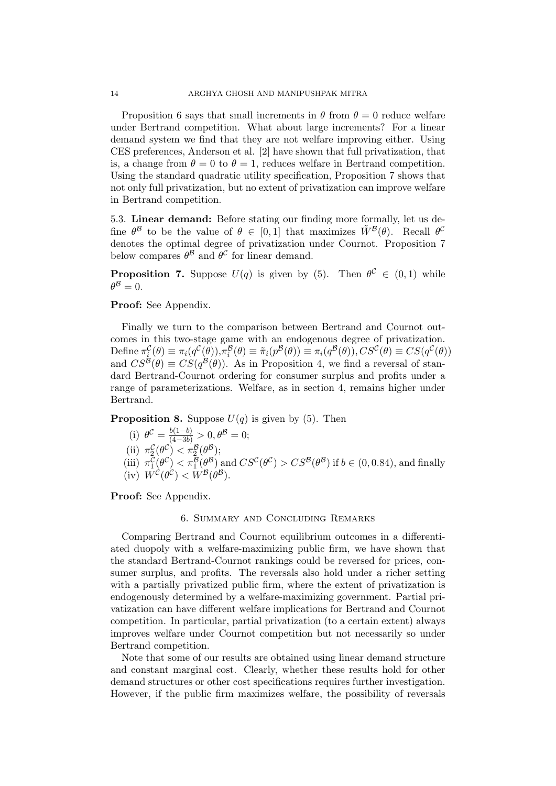Proposition 6 says that small increments in  $\theta$  from  $\theta = 0$  reduce welfare under Bertrand competition. What about large increments? For a linear demand system we find that they are not welfare improving either. Using CES preferences, Anderson et al. [2] have shown that full privatization, that is, a change from  $\theta = 0$  to  $\theta = 1$ , reduces welfare in Bertrand competition. Using the standard quadratic utility specification, Proposition 7 shows that not only full privatization, but no extent of privatization can improve welfare in Bertrand competition.

5.3. Linear demand: Before stating our finding more formally, let us define  $\theta^{\mathcal{B}}$  to be the value of  $\theta \in [0,1]$  that maximizes  $\tilde{W}^{\mathcal{B}}(\theta)$ . Recall  $\theta^{\mathcal{C}}$ denotes the optimal degree of privatization under Cournot. Proposition 7 below compares  $\theta^{\mathcal{B}}$  and  $\theta^{\mathcal{C}}$  for linear demand.

**Proposition 7.** Suppose  $U(q)$  is given by (5). Then  $\theta^{\mathcal{C}} \in (0,1)$  while  $\theta^{\mathcal{B}}=0.$ 

## Proof: See Appendix.

Finally we turn to the comparison between Bertrand and Cournot outcomes in this two-stage game with an endogenous degree of privatization. Define  $\pi_i^{\mathcal{C}}(\theta) \equiv \pi_i(q^{\mathcal{C}}(\theta)), \pi_i^{\mathcal{B}}(\theta) \equiv \tilde{\pi}_i(p^{\mathcal{B}}(\theta)) \equiv \pi_i(q^{\mathcal{B}}(\theta)), CS^{\mathcal{C}}(\theta) \equiv CS(q^{\mathcal{C}}(\theta))$ and  $CS^{\mathcal{B}}(\theta) \equiv CS(q^{\mathcal{B}}(\theta))$ . As in Proposition 4, we find a reversal of standard Bertrand-Cournot ordering for consumer surplus and profits under a range of parameterizations. Welfare, as in section 4, remains higher under Bertrand.

**Proposition 8.** Suppose  $U(q)$  is given by (5). Then

\n- (i) 
$$
\theta^{\mathcal{C}} = \frac{b(1-b)}{(4-3b)} > 0, \theta^{\mathcal{B}} = 0;
$$
\n- (ii)  $\pi_2^{\mathcal{C}}(\theta^{\mathcal{C}}) < \pi_2^{\mathcal{B}}(\theta^{\mathcal{B}});$
\n- (iii)  $\pi_1^{\mathcal{C}}(\theta^{\mathcal{C}}) < \pi_1^{\mathcal{B}}(\theta^{\mathcal{B}})$  and  $CS^{\mathcal{C}}(\theta^{\mathcal{C}}) > CS^{\mathcal{B}}(\theta^{\mathcal{B}})$  if  $b \in (0, 0.84)$ , and finally (iv)  $W^{\mathcal{C}}(\theta^{\mathcal{C}}) < W^{\mathcal{B}}(\theta^{\mathcal{B}}).$
\n

Proof: See Appendix.

#### 6. Summary and Concluding Remarks

Comparing Bertrand and Cournot equilibrium outcomes in a differentiated duopoly with a welfare-maximizing public firm, we have shown that the standard Bertrand-Cournot rankings could be reversed for prices, consumer surplus, and profits. The reversals also hold under a richer setting with a partially privatized public firm, where the extent of privatization is endogenously determined by a welfare-maximizing government. Partial privatization can have different welfare implications for Bertrand and Cournot competition. In particular, partial privatization (to a certain extent) always improves welfare under Cournot competition but not necessarily so under Bertrand competition.

Note that some of our results are obtained using linear demand structure and constant marginal cost. Clearly, whether these results hold for other demand structures or other cost specifications requires further investigation. However, if the public firm maximizes welfare, the possibility of reversals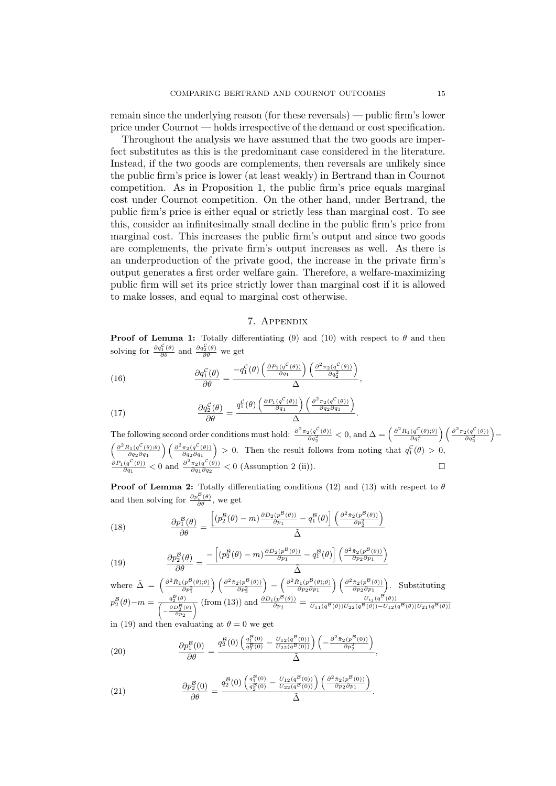remain since the underlying reason (for these reversals) — public firm's lower price under Cournot — holds irrespective of the demand or cost specification.

Throughout the analysis we have assumed that the two goods are imperfect substitutes as this is the predominant case considered in the literature. Instead, if the two goods are complements, then reversals are unlikely since the public firm's price is lower (at least weakly) in Bertrand than in Cournot competition. As in Proposition 1, the public firm's price equals marginal cost under Cournot competition. On the other hand, under Bertrand, the public firm's price is either equal or strictly less than marginal cost. To see this, consider an infinitesimally small decline in the public firm's price from marginal cost. This increases the public firm's output and since two goods are complements, the private firm's output increases as well. As there is an underproduction of the private good, the increase in the private firm's output generates a first order welfare gain. Therefore, a welfare-maximizing public firm will set its price strictly lower than marginal cost if it is allowed to make losses, and equal to marginal cost otherwise.

#### 7. Appendix

**Proof of Lemma 1:** Totally differentiating (9) and (10) with respect to  $\theta$  and then solving for  $\frac{\partial q_1^{\mathcal{C}}(\theta)}{\partial \theta}$  and  $\frac{\partial q_2^{\mathcal{C}}(\theta)}{\partial \theta}$  we get

(16) 
$$
\frac{\partial q_1^{\mathcal{C}}(\theta)}{\partial \theta} = \frac{-q_1^{\mathcal{C}}(\theta) \left( \frac{\partial P_1(q^{\mathcal{C}}(\theta))}{\partial q_1} \right) \left( \frac{\partial^2 \pi_2(q^{\mathcal{C}}(\theta))}{\partial q_2^2} \right)}{\Delta}
$$

(17) 
$$
\frac{\partial q_2^{\mathcal{C}}(\theta)}{\partial \theta} = \frac{q_1^{\mathcal{C}}(\theta) \left( \frac{\partial P_1(q^{\mathcal{C}}(\theta))}{\partial q_1} \right) \left( \frac{\partial^2 \pi_2(q^{\mathcal{C}}(\theta))}{\partial q_2 \partial q_1} \right)}{\Delta}.
$$

The following second order conditions must hold:  $\frac{\partial^2 \pi_2(q^C(\theta))}{\partial q_2^2} < 0$ , and  $\Delta = \left(\frac{\partial^2 R_1(q^C(\theta), \theta)}{\partial q_1^2}\right)$  $\bigg)\bigg(\frac{\partial^2 \pi_2(q^\mathcal{C}(\theta))}{\partial q_2^2}$  −  $\int \frac{\partial^2 R_1(q^{\mathcal{C}}(\theta);\theta)}$  $\frac{\partial_{1}(q^{\mathcal{C}}(\theta);\theta)}{\partial q_{2}\partial q_{1}}\bigg)\left(\frac{\partial^{2}\pi_{2}(q^{\mathcal{C}}(\theta))}{\partial q_{2}\partial q_{1}}\right)$  $\frac{\pi_2(q^{\mathcal{C}}(\theta))}{\partial q_2 \partial q_1}$  > 0. Then the result follows from noting that  $q_1^{\mathcal{C}}(\theta) > 0$ ,  $\partial P_1(q^{\mathcal{C}}(\theta))$  $\frac{(q^{\mathcal{C}}(\theta))}{\partial q_1}$  < 0 and  $\frac{\partial^2 \pi_2(q^{\mathcal{C}}(\theta))}{\partial q_1 \partial q_2}$  $\frac{\pi_2(q^{\mathcal{C}}(\theta))}{\partial q_1 \partial q_2}$  < 0 (Assumption 2 (ii)).

,

,

**Proof of Lemma 2:** Totally differentiating conditions (12) and (13) with respect to  $\theta$ and then solving for  $\frac{\partial p_i^{\mathcal{B}}(\theta)}{\partial \theta}$ , we get

(18) 
$$
\frac{\partial p_1^{\mathcal{B}}(\theta)}{\partial \theta} = \frac{\left[ (p_2^{\mathcal{B}}(\theta) - m) \frac{\partial D_2(p^{\mathcal{B}}(\theta))}{\partial p_1} - q_1^{\mathcal{B}}(\theta) \right] \left( \frac{\partial^2 \tilde{\pi}_2(p^{\mathcal{B}}(\theta))}{\partial p_2^2} \right)}{\tilde{\Delta}}
$$

(19) 
$$
\frac{\partial p_2^{\mathcal{B}}(\theta)}{\partial \theta} = \frac{-\left[ (p_2^{\mathcal{B}}(\theta) - m) \frac{\partial D_2(p^{\mathcal{B}}(\theta))}{\partial p_1} - q_1^{\mathcal{B}}(\theta) \right] \left( \frac{\partial^2 \tilde{\pi}_2(p^{\mathcal{B}}(\theta))}{\partial p_2 \partial p_1} \right)}{\tilde{\Delta}}
$$

where 
$$
\tilde{\Delta} = \left(\frac{\partial^2 \tilde{R}_1(p^B(\theta);\theta)}{\partial p_1^2}\right) \left(\frac{\partial^2 \tilde{\pi}_2(p^B(\theta))}{\partial p_2^2}\right) - \left(\frac{\partial^2 \tilde{R}_1(p^B(\theta);\theta)}{\partial p_2 \partial p_1}\right) \left(\frac{\partial^2 \tilde{\pi}_2(p^B(\theta))}{\partial p_2 \partial p_1}\right).
$$
 Substituting 
$$
p_2^B(\theta) - m = \frac{q_2^B(\theta)}{\left(-\frac{\partial D_2^B(\theta)}{\partial p_2}\right)} \text{ (from (13)) and } \frac{\partial D_i(p^B(\theta))}{\partial p_j} = \frac{U_{ij}(q^B(\theta))U_{22}(q^B(\theta)) - U_{12}(q^B(\theta))U_{21}(q^B(\theta))}{U_{11}(q^B(\theta))U_{22}(q^B(\theta)) - U_{12}(q^B(\theta))U_{21}(q^B(\theta))}
$$

in (19) and then evaluating at  $\theta = 0$  we get

(20) 
$$
\frac{\partial p_1^B(0)}{\partial \theta} = \frac{q_2^B(0) \left( \frac{q_1^B(0)}{q_2^B(0)} - \frac{U_{12}(q^B(0))}{U_{22}(q^B(0))} \right) \left( -\frac{\partial^2 \tilde{\pi}_2(p^B(0))}{\partial p_2^2} \right)}{\tilde{\Delta}}
$$

(21) 
$$
\frac{\partial p_2^{\mathcal{B}}(0)}{\partial \theta} = \frac{q_2^{\mathcal{B}}(0) \left( \frac{q_1^{\mathcal{B}}(0)}{q_2^{\mathcal{B}}(0)} - \frac{U_{12}(q^{\mathcal{B}}(0))}{U_{22}(q^{\mathcal{B}}(0))} \right) \left( \frac{\partial^2 \tilde{\pi}_2(p^{\mathcal{B}}(0))}{\partial p_2 \partial p_1} \right)}{\tilde{\Delta}}.
$$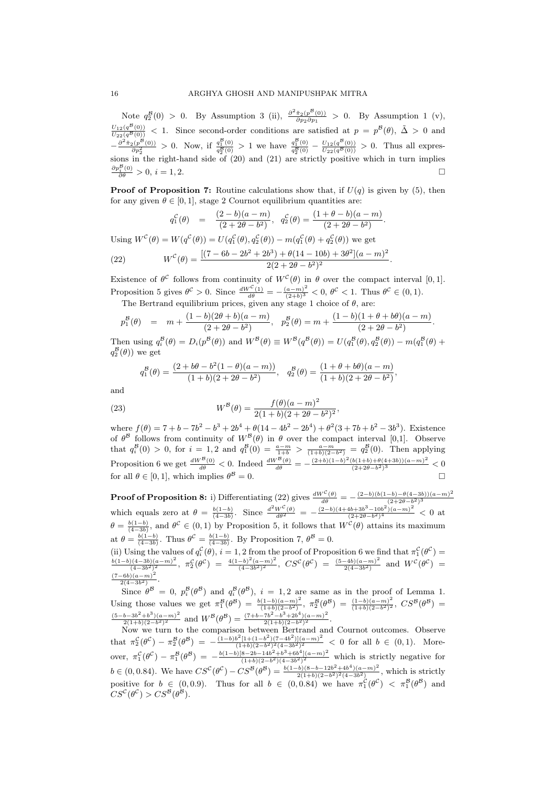Note  $q_2^{\mathcal{B}}(0) > 0$ . By Assumption 3 (ii),  $\frac{\partial^2 \tilde{\pi}_2(p^{\mathcal{B}}(0))}{\partial p_2 \partial p_1}$  $\frac{\pi_2(p^-(0))}{\partial p_2 \partial p_1} > 0$ . By Assumption 1 (v),  $\frac{U_{12}(q^{B}(0))}{U_{22}(q^{B}(0))}$  < 1. Since second-order conditions are satisfied at  $p = p^{B}(\theta)$ ,  $\tilde{\Delta} > 0$  and  $-\frac{\partial^2 \tilde{\pi}_2(p^{\mathcal{B}}(0))}{\partial p_2^2} > 0$ . Now, if  $\frac{q_1^{\mathcal{B}}(0)}{q_2^{\mathcal{B}}(0)} > 1$  we have  $\frac{q_1^{\mathcal{B}}(0)}{q_2^{\mathcal{B}}(0)} - \frac{U_{12}(q^{\mathcal{B}}(0))}{U_{22}(q^{\mathcal{B}}(0))} > 0$ . Thus all expressions in the right-hand side of (20) and (21) are strictly positive which in turn implies  $\frac{\partial p_i^B(0)}{\partial \theta} > 0, i = 1, 2.$ 

**Proof of Proposition 7:** Routine calculations show that, if  $U(q)$  is given by (5), then for any given  $\theta \in [0, 1]$ , stage 2 Cournot equilibrium quantities are:

$$
q_1^{\mathcal{C}}(\theta) = \frac{(2-b)(a-m)}{(2+2\theta-b^2)}, q_2^{\mathcal{C}}(\theta) = \frac{(1+\theta-b)(a-m)}{(2+2\theta-b^2)}.
$$

Using  $W^{\mathcal{C}}(\theta) = W(q^{\mathcal{C}}(\theta)) = U(q_1^{\mathcal{C}}(\theta), q_2^{\mathcal{C}}(\theta)) - m(q_1^{\mathcal{C}}(\theta) + q_2^{\mathcal{C}}(\theta))$  we get  $(\theta) = \frac{[(7 - 6b - 2b^2 + 2b^3) + \theta(14 - 10b) + 3\theta^2](a - m)^2}{2(9 + 3a^2 + 3b^2)}$ 

(22) 
$$
W^{C}(\theta) = \frac{[(1 - 6\theta - 2\theta + 2\theta)] + \theta(14 - 10\theta) + 3\theta}{2(2 + 2\theta - \theta^{2})^{2}}
$$

Existence of  $\theta^{\mathcal{C}}$  follows from continuity of  $W^{\mathcal{C}}(\theta)$  in  $\theta$  over the compact interval [0, 1]. Proposition 5 gives  $\theta^{\mathcal{C}} > 0$ . Since  $\frac{dW^{\mathcal{C}}(1)}{d\theta} = -\frac{(a-m)^2}{(2+b)^3}$  $\frac{(a-m)^2}{(2+b)^3} < 0, \ \theta^{\mathcal{C}} < 1.$  Thus  $\theta^{\mathcal{C}} \in (0,1)$ .

.

The Bertrand equilibrium prices, given any stage 1 choice of  $\theta$ , are:

$$
p_1^{\mathcal{B}}(\theta) = m + \frac{(1-b)(2\theta+b)(a-m)}{(2+2\theta-b^2)}, \quad p_2^{\mathcal{B}}(\theta) = m + \frac{(1-b)(1+\theta+b\theta)(a-m)}{(2+2\theta-b^2)}.
$$

Then using  $q_i^{\mathcal{B}}(\theta) = D_i(p^{\mathcal{B}}(\theta))$  and  $W^{\mathcal{B}}(\theta) \equiv W^{\mathcal{B}}(q^{\mathcal{B}}(\theta)) = U(q_1^{\mathcal{B}}(\theta), q_2^{\mathcal{B}}(\theta)) - m(q_1^{\mathcal{B}}(\theta) + q_2^{\mathcal{B}}(\theta))$  $q_2^{\mathcal{B}}(\theta)$  we get

$$
q_1^{\mathcal{B}}(\theta) = \frac{(2+b\theta - b^2(1-\theta)(a-m))}{(1+b)(2+2\theta - b^2)}, \quad q_2^{\mathcal{B}}(\theta) = \frac{(1+\theta + b\theta)(a-m)}{(1+b)(2+2\theta - b^2)},
$$

and

(23) 
$$
W^{B}(\theta) = \frac{f(\theta)(a-m)^{2}}{2(1+b)(2+2\theta-b^{2})^{2}},
$$

where  $f(\theta) = 7 + b - 7b^2 - b^3 + 2b^4 + \theta(14 - 4b^2 - 2b^4) + \theta^2(3 + 7b + b^2 - 3b^3)$ . Existence of  $\theta^{\beta}$  follows from continuity of  $W^{\beta}(\theta)$  in  $\theta$  over the compact interval [0,1]. Observe that  $q_i^{\mathcal{B}}(0) > 0$ , for  $i = 1, 2$  and  $q_1^{\mathcal{B}}(0) = \frac{a-m}{1+b} > \frac{a-m}{(1+b)(2-b^2)} = q_2^{\mathcal{B}}(0)$ . Then applying Proposition 6 we get  $\frac{dW^B(0)}{d\theta} < 0$ . Indeed  $\frac{dW^B(\theta)}{d\theta} = -\frac{(2+b)(1-b)^2(b(1+b)+\theta(4+3b))(a-m)^2}{(2+2\theta-b^2)^3}$  $\frac{b(1+b)+b(4+3b))(a-m)^{2}}{(2+2\theta-b^2)^3} < 0$ for all  $\theta \in [0, 1]$ , which implies  $\theta^{\mathcal{B}} = 0$ .  $\beta = 0$ .

**Proof of Proposition 8:** i) Differentiating (22) gives  $\frac{dW^C(\theta)}{d\theta} = -\frac{(2-b)(b(1-b)-\theta(4-3b))(a-m)^2}{(2+2\theta-b^2)^3}$  $(2+2\theta-b^2)^3$ which equals zero at  $\theta = \frac{b(1-b)}{(4-3b)}$ . Since  $\frac{d^2W^C(\theta)}{d\theta^2} = -\frac{(2-b)(4+4b+3b^3-10b^2)(a-m)^2}{(2+2\theta-b^2)^4}$  $\frac{(2+2\theta-b^2)^4}{(2+2\theta-b^2)^4}$  < 0 at  $\theta = \frac{b(1-b)}{(4-3b)}$ , and  $\theta^{\mathcal{C}} \in (0,1)$  by Proposition 5, it follows that  $W^{\mathcal{C}}(\theta)$  attains its maximum at  $\theta = \frac{b(1-b)}{(4-3b)}$ . Thus  $\theta^{\mathcal{C}} = \frac{b(1-b)}{(4-3b)}$ . By Proposition 7,  $\theta^{\mathcal{B}} = 0$ .

(ii) Using the values of  $q_i^{\mathcal{C}}(\theta), i = 1, 2$  from the proof of Proposition 6 we find that  $\pi_1^{\mathcal{C}}(\theta^{\mathcal{C}})$  $b(1-b)(4-3b)(a-m)^2$  $\frac{\left((4-3b)(a-m)^2}{(4-3b^2)^2}, \ \pi_2^{\mathcal{C}}(\theta^{\mathcal{C}}) = \frac{4(1-b)^2(a-m)^2}{(4-3b^2)^2}$  $\frac{(-b)^2(a-m)^2}{(4-3b^2)^2}$ ,  $CS^{\mathcal{C}}(\theta^{\mathcal{C}}) = \frac{(5-4b)(a-m)^2}{2(4-3b^2)}$  $\frac{(-4b)(a-m)^2}{2(4-3b^2)}$  and  $W^{\mathcal{C}}(\theta^{\mathcal{C}})$  =  $(7-6b)(a-m)^2$  $\frac{-6b( a-m)^2}{2(4-3b^2)}$ .

Since  $\theta^{\mathcal{B}} = 0$ ,  $p_i^{\mathcal{B}}(\theta^{\mathcal{B}})$  and  $q_i^{\mathcal{B}}(\theta^{\mathcal{B}})$ ,  $i = 1, 2$  are same as in the proof of Lemma 1. Using those values we get  $\pi_1^{\mathcal{B}}(\theta^{\mathcal{B}}) = \frac{b(1-b)(a-m)^2}{(1+b)(2-b^2)}$  $\frac{(1-b)(a-m)^2}{(1+b)(2-b^2)}$ , π<sup>B</sup><sub>2</sub>(θ<sup>B</sup>) =  $\frac{(1-b)(a-m)^2}{(1+b)(2-b^2)^2}$  $\frac{(1-b)(a-m)^2}{(1+b)(2-b^2)^2}$ ,  $CS^B(\theta^B)$  =  $(5-b-3b^2+b^3)(a-m)^2$  $\frac{(a-m)^2}{(a^2)^2}$  and  $W^{\mathcal{B}}(\theta^{\mathcal{B}}) = \frac{(7+b-7b^2-b^3+2b^4)(a-m)^2}{2(1+b)(2-b^2)^2}$  $\frac{(-1)(a-m)^2}{(a^2)^2}$ .

 $2(1+b)(2-b^2)^2$  and  $W = 2(1+b)(2-b^2)^2$ <br>Now we turn to the comparison between Bertrand and Cournot outcomes. Observe that  $\pi_2^{\mathcal{C}}(\theta^{\mathcal{C}}) - \pi_2^{\mathcal{B}}(\theta^{\mathcal{B}}) = -\frac{(1-b)b^2[1+(1-b^2)(7-4b^2)](a-m)^2}{(1+b)(2-b^2)^2(4-3b^2)^2}$  $\frac{b^2[1+(1-b^2)(7-4b^2)](a-m)^2}{(1+b)(2-b^2)^2(4-3b^2)^2}$  < 0 for all  $b \in (0,1)$ . Moreover,  $\pi_1^{\mathcal{C}}(\theta^{\mathcal{C}}) - \pi_1^{\mathcal{B}}(\theta^{\mathcal{B}}) = -\frac{b(1-b)[8-2b-14b^2+b^3+6b^4](a-m)^2}{(1+b)(2-b^2)(4-3b^2)^2}$  $\frac{(3-2b-14b^2+b^2+6b^2)(a-m)^2}{(1+b)(2-b^2)(4-3b^2)^2}$  which is strictly negative for  $b \in (0, 0.84)$ . We have  $CS^{\mathcal{C}}(\theta^{\mathcal{C}}) - CS^{\mathcal{B}}(\theta^{\mathcal{B}}) = \frac{b(1-b)(8-b-12b^2+4b^4)(a-m)^2}{2(1+b)(2-b^2)^2(A-3b^2)}$  $\frac{2(1+b)(2-b-12b^2+4b^2)(a-m)^2}{2(1+b)(2-b^2)^2(4-3b^2)}$ , which is strictly positive for  $b \in (0,0.9)$ . Thus for all  $b \in (0,0.84)$  we have  $\pi_1^{\mathcal{C}}(\theta^{\mathcal{C}}) < \pi_1^{\mathcal{B}}(\theta^{\mathcal{B}})$  and  $CS^{\mathcal{C}}(\theta^{\mathcal{C}}) > CS^{\mathcal{B}}(\theta^{\mathcal{B}}).$